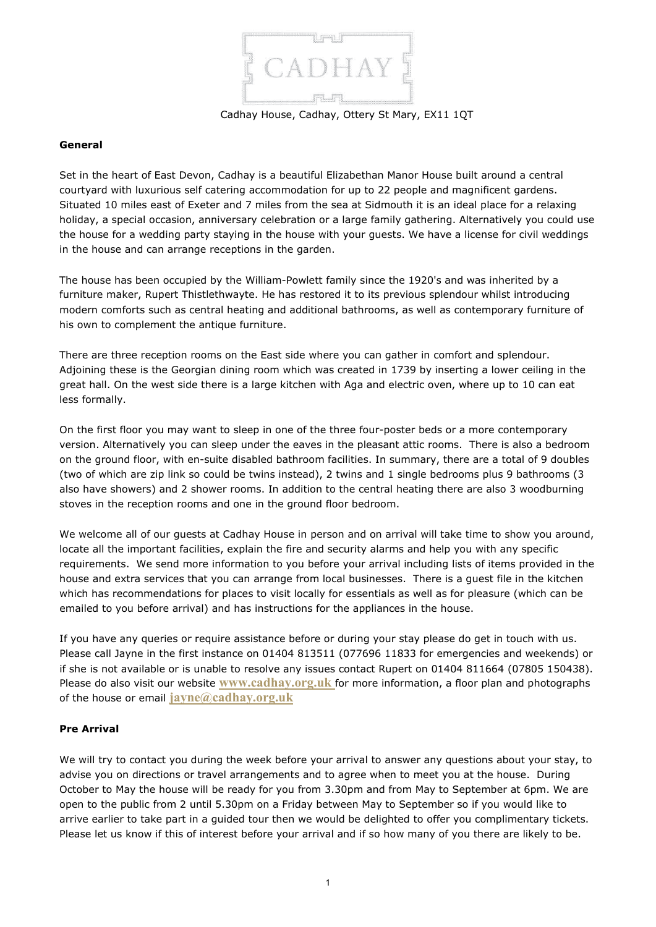

Cadhay House, Cadhay, Ottery St Mary, EX11 1QT

#### **General**

Set in the heart of East Devon, Cadhay is a beautiful Elizabethan Manor House built around a central courtyard with luxurious self catering accommodation for up to 22 people and magnificent gardens. Situated 10 miles east of Exeter and 7 miles from the sea at Sidmouth it is an ideal place for a relaxing holiday, a special occasion, anniversary celebration or a large family gathering. Alternatively you could use the house for a wedding party staying in the house with your guests. We have a license for civil weddings in the house and can arrange receptions in the garden.

The house has been occupied by the William-Powlett family since the 1920's and was inherited by a furniture maker, [Rupert Thistlethwayte.](http://www.rupertfurniture.co.uk/) He has restored it to its previous splendour whilst introducing modern comforts such as central heating and additional bathrooms, as well as contemporary furniture of his own to complement the antique furniture.

There are three reception rooms on the East side where you can gather in comfort and splendour. Adjoining these is the Georgian dining room which was created in 1739 by inserting a lower ceiling in the great hall. On the west side there is a large kitchen with Aga and electric oven, where up to 10 can eat less formally.

On the first floor you may want to sleep in one of the three four-poster beds or a more contemporary version. Alternatively you can sleep under the eaves in the pleasant attic rooms. There is also a bedroom on the ground floor, with en-suite disabled bathroom facilities. In summary, there are a total of 9 doubles (two of which are zip link so could be twins instead), 2 twins and 1 single bedrooms plus 9 bathrooms (3 also have showers) and 2 shower rooms. In addition to the central heating there are also 3 woodburning stoves in the reception rooms and one in the ground floor bedroom.

We welcome all of our guests at Cadhay House in person and on arrival will take time to show you around, locate all the important facilities, explain the fire and security alarms and help you with any specific requirements. We send more information to you before your arrival including lists of items provided in the house and extra services that you can arrange from local businesses. There is a guest file in the kitchen which has recommendations for places to visit locally for essentials as well as for pleasure (which can be emailed to you before arrival) and has instructions for the appliances in the house.

If you have any queries or require assistance before or during your stay please do get in touch with us. Please call Jayne in the first instance on 01404 813511 (077696 11833 for emergencies and weekends) or if she is not available or is unable to resolve any issues contact Rupert on 01404 811664 (07805 150438). Please do also visit our website **[www.cadhay.org.uk](http://www.cadhay.org.uk/)** for more information, a floor plan and photographs of the house or email **[jayne@cadhay.org.uk](mailto:jayne@cadhay.org.uk)**

# **Pre Arrival**

We will try to contact you during the week before your arrival to answer any questions about your stay, to advise you on directions or travel arrangements and to agree when to meet you at the house. During October to May the house will be ready for you from 3.30pm and from May to September at 6pm. We are open to the public from 2 until 5.30pm on a Friday between May to September so if you would like to arrive earlier to take part in a guided tour then we would be delighted to offer you complimentary tickets. Please let us know if this of interest before your arrival and if so how many of you there are likely to be.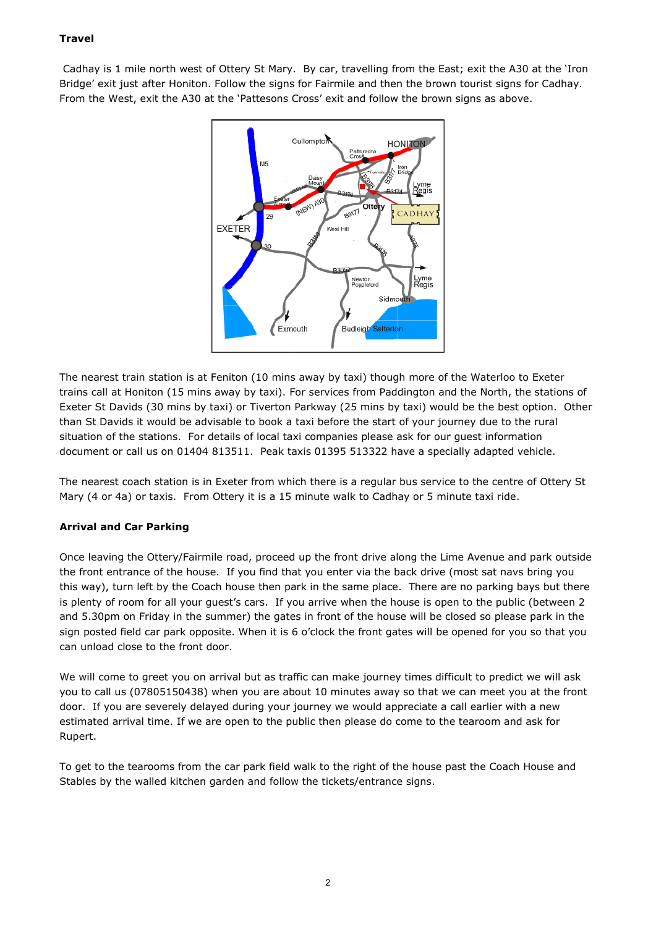# **Travel**

Cadhay is 1 mile north west of Ottery St Mary. By car, travelling from the East; exit the A30 at the 'Iron Bridge' exit just after Honiton. Follow the signs for Fairmile and then the brown tourist signs for Cadhay. From the West, exit the A30 at the 'Pattesons Cross' exit and follow the brown signs as above.



The nearest train station is at Feniton (10 mins away by taxi) though more of the Waterloo to Exeter trains call at Honiton (15 mins away by taxi). For services from Paddington and the North, the stations of Exeter St Davids (30 mins by taxi) or Tiverton Parkway (25 mins by taxi) would be the best option. Other than St Davids it would be advisable to book a taxi before the start of your journey due to the rural situation of the stations. For details of local taxi companies please ask for our guest information document or call us on 01404 813511. Peak taxis 01395 513322 have a specially adapted vehicle.

The nearest coach station is in Exeter from which there is a regular bus service to the centre of Ottery St Mary (4 or 4a) or taxis. From Ottery it is a 15 minute walk to Cadhay or 5 minute taxi ride.

# **Arrival and Car Parking**

Once leaving the Ottery/Fairmile road, proceed up the front drive along the Lime Avenue and park outside the front entrance of the house. If you find that you enter via the back drive (most sat navs bring you this way), turn left by the Coach house then park in the same place. There are no parking bays but there is plenty of room for all your guest's cars. If you arrive when the house is open to the public (between 2 and 5.30pm on Friday in the summer) the gates in front of the house will be closed so please park in the sign posted field car park opposite. When it is 6 o'clock the front gates will be opened for you so that you can unload close to the front door.

We will come to greet you on arrival but as traffic can make journey times difficult to predict we will ask you to call us (07805150438) when you are about 10 minutes away so that we can meet you at the front door. If you are severely delayed during your journey we would appreciate a call earlier with a new estimated arrival time. If we are open to the public then please do come to the tearoom and ask for Rupert.

To get to the tearooms from the car park field walk to the right of the house past the Coach House and Stables by the walled kitchen garden and follow the tickets/entrance signs.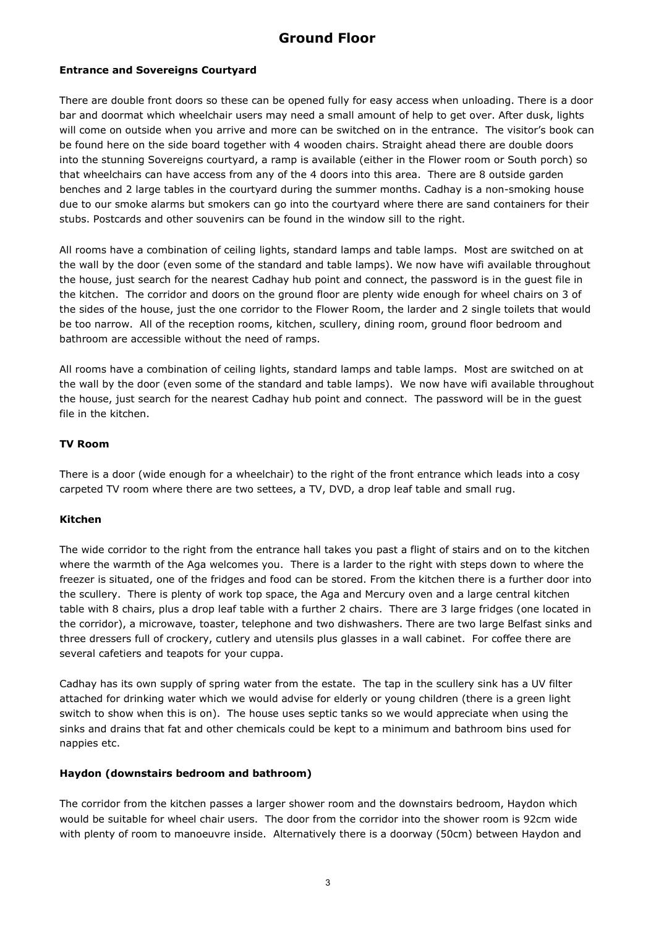# **Ground Floor**

# **Entrance and Sovereigns Courtyard**

There are double front doors so these can be opened fully for easy access when unloading. There is a door bar and doormat which wheelchair users may need a small amount of help to get over. After dusk, lights will come on outside when you arrive and more can be switched on in the entrance. The visitor's book can be found here on the side board together with 4 wooden chairs. Straight ahead there are double doors into the stunning Sovereigns courtyard, a ramp is available (either in the Flower room or South porch) so that wheelchairs can have access from any of the 4 doors into this area. There are 8 outside garden benches and 2 large tables in the courtyard during the summer months. Cadhay is a non-smoking house due to our smoke alarms but smokers can go into the courtyard where there are sand containers for their stubs. Postcards and other souvenirs can be found in the window sill to the right.

All rooms have a combination of ceiling lights, standard lamps and table lamps. Most are switched on at the wall by the door (even some of the standard and table lamps). We now have wifi available throughout the house, just search for the nearest Cadhay hub point and connect, the password is in the guest file in the kitchen. The corridor and doors on the ground floor are plenty wide enough for wheel chairs on 3 of the sides of the house, just the one corridor to the Flower Room, the larder and 2 single toilets that would be too narrow. All of the reception rooms, kitchen, scullery, dining room, ground floor bedroom and bathroom are accessible without the need of ramps.

All rooms have a combination of ceiling lights, standard lamps and table lamps. Most are switched on at the wall by the door (even some of the standard and table lamps). We now have wifi available throughout the house, just search for the nearest Cadhay hub point and connect. The password will be in the guest file in the kitchen.

# **TV Room**

There is a door (wide enough for a wheelchair) to the right of the front entrance which leads into a cosy carpeted TV room where there are two settees, a TV, DVD, a drop leaf table and small rug.

# **Kitchen**

The wide corridor to the right from the entrance hall takes you past a flight of stairs and on to the kitchen where the warmth of the Aga welcomes you. There is a larder to the right with steps down to where the freezer is situated, one of the fridges and food can be stored. From the kitchen there is a further door into the scullery. There is plenty of work top space, the Aga and Mercury oven and a large central kitchen table with 8 chairs, plus a drop leaf table with a further 2 chairs. There are 3 large fridges (one located in the corridor), a microwave, toaster, telephone and two dishwashers. There are two large Belfast sinks and three dressers full of crockery, cutlery and utensils plus glasses in a wall cabinet. For coffee there are several cafetiers and teapots for your cuppa.

Cadhay has its own supply of spring water from the estate. The tap in the scullery sink has a UV filter attached for drinking water which we would advise for elderly or young children (there is a green light switch to show when this is on). The house uses septic tanks so we would appreciate when using the sinks and drains that fat and other chemicals could be kept to a minimum and bathroom bins used for nappies etc.

# **Haydon (downstairs bedroom and bathroom)**

The corridor from the kitchen passes a larger shower room and the downstairs bedroom, Haydon which would be suitable for wheel chair users. The door from the corridor into the shower room is 92cm wide with plenty of room to manoeuvre inside. Alternatively there is a doorway (50cm) between Haydon and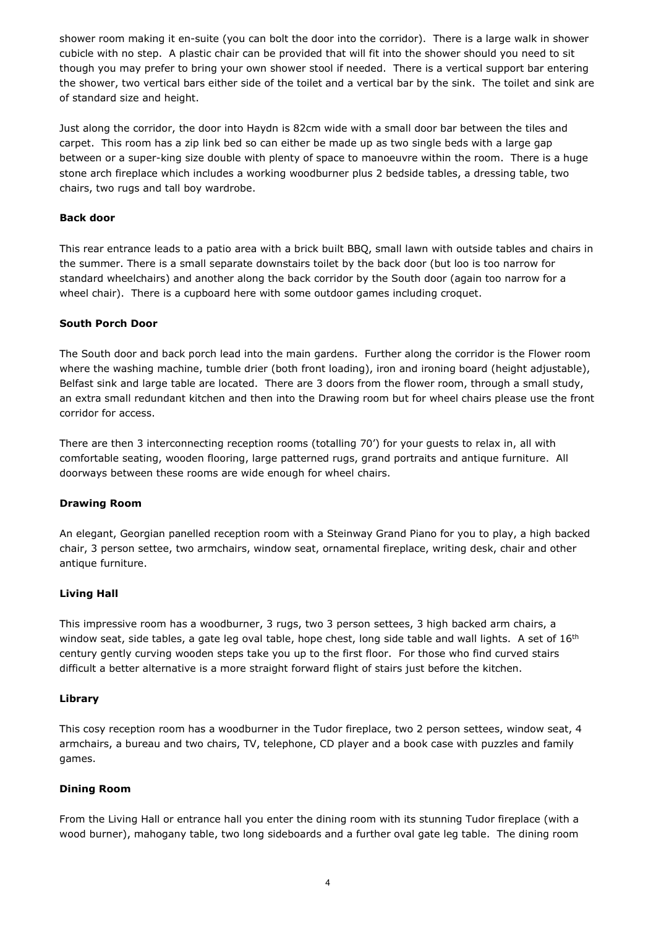shower room making it en-suite (you can bolt the door into the corridor). There is a large walk in shower cubicle with no step. A plastic chair can be provided that will fit into the shower should you need to sit though you may prefer to bring your own shower stool if needed. There is a vertical support bar entering the shower, two vertical bars either side of the toilet and a vertical bar by the sink. The toilet and sink are of standard size and height.

Just along the corridor, the door into Haydn is 82cm wide with a small door bar between the tiles and carpet. This room has a zip link bed so can either be made up as two single beds with a large gap between or a super-king size double with plenty of space to manoeuvre within the room. There is a huge stone arch fireplace which includes a working woodburner plus 2 bedside tables, a dressing table, two chairs, two rugs and tall boy wardrobe.

## **Back door**

This rear entrance leads to a patio area with a brick built BBQ, small lawn with outside tables and chairs in the summer. There is a small separate downstairs toilet by the back door (but loo is too narrow for standard wheelchairs) and another along the back corridor by the South door (again too narrow for a wheel chair). There is a cupboard here with some outdoor games including croquet.

## **South Porch Door**

The South door and back porch lead into the main gardens. Further along the corridor is the Flower room where the washing machine, tumble drier (both front loading), iron and ironing board (height adjustable), Belfast sink and large table are located. There are 3 doors from the flower room, through a small study, an extra small redundant kitchen and then into the Drawing room but for wheel chairs please use the front corridor for access.

There are then 3 interconnecting reception rooms (totalling 70') for your guests to relax in, all with comfortable seating, wooden flooring, large patterned rugs, grand portraits and antique furniture. All doorways between these rooms are wide enough for wheel chairs.

#### **Drawing Room**

An elegant, Georgian panelled reception room with a Steinway Grand Piano for you to play, a high backed chair, 3 person settee, two armchairs, window seat, ornamental fireplace, writing desk, chair and other antique furniture.

# **Living Hall**

This impressive room has a woodburner, 3 rugs, two 3 person settees, 3 high backed arm chairs, a window seat, side tables, a gate leg oval table, hope chest, long side table and wall lights. A set of 16<sup>th</sup> century gently curving wooden steps take you up to the first floor. For those who find curved stairs difficult a better alternative is a more straight forward flight of stairs just before the kitchen.

#### **Library**

This cosy reception room has a woodburner in the Tudor fireplace, two 2 person settees, window seat, 4 armchairs, a bureau and two chairs, TV, telephone, CD player and a book case with puzzles and family games.

# **Dining Room**

From the Living Hall or entrance hall you enter the dining room with its stunning Tudor fireplace (with a wood burner), mahogany table, two long sideboards and a further oval gate leg table. The dining room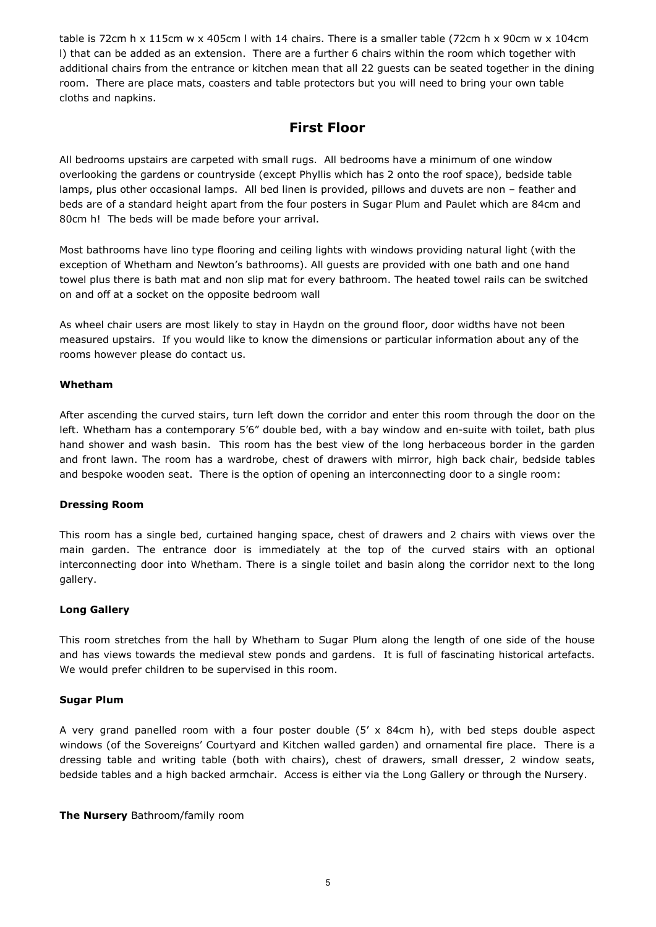table is 72cm h x 115cm w x 405cm l with 14 chairs. There is a smaller table (72cm h x 90cm w x 104cm l) that can be added as an extension. There are a further 6 chairs within the room which together with additional chairs from the entrance or kitchen mean that all 22 guests can be seated together in the dining room. There are place mats, coasters and table protectors but you will need to bring your own table cloths and napkins.

# **First Floor**

All bedrooms upstairs are carpeted with small rugs. All bedrooms have a minimum of one window overlooking the gardens or countryside (except Phyllis which has 2 onto the roof space), bedside table lamps, plus other occasional lamps. All bed linen is provided, pillows and duvets are non – feather and beds are of a standard height apart from the four posters in Sugar Plum and Paulet which are 84cm and 80cm h! The beds will be made before your arrival.

Most bathrooms have lino type flooring and ceiling lights with windows providing natural light (with the exception of Whetham and Newton's bathrooms). All guests are provided with one bath and one hand towel plus there is bath mat and non slip mat for every bathroom. The heated towel rails can be switched on and off at a socket on the opposite bedroom wall

As wheel chair users are most likely to stay in Haydn on the ground floor, door widths have not been measured upstairs. If you would like to know the dimensions or particular information about any of the rooms however please do contact us.

## **Whetham**

After ascending the curved stairs, turn left down the corridor and enter this room through the door on the left. Whetham has a contemporary 5'6" double bed, with a bay window and en-suite with toilet, bath plus hand shower and wash basin. This room has the best view of the long herbaceous border in the garden and front lawn. The room has a wardrobe, chest of drawers with mirror, high back chair, bedside tables and bespoke wooden seat. There is the option of opening an interconnecting door to a single room:

#### **Dressing Room**

This room has a single bed, curtained hanging space, chest of drawers and 2 chairs with views over the main garden. The entrance door is immediately at the top of the curved stairs with an optional interconnecting door into Whetham. There is a single toilet and basin along the corridor next to the long gallery.

#### **Long Gallery**

This room stretches from the hall by Whetham to Sugar Plum along the length of one side of the house and has views towards the medieval stew ponds and gardens. It is full of fascinating historical artefacts. We would prefer children to be supervised in this room.

#### **Sugar Plum**

A very grand panelled room with a four poster double  $(5' \times 84$ cm h), with bed steps double aspect windows (of the Sovereigns' Courtyard and Kitchen walled garden) and ornamental fire place. There is a dressing table and writing table (both with chairs), chest of drawers, small dresser, 2 window seats, bedside tables and a high backed armchair. Access is either via the Long Gallery or through the Nursery.

**The Nursery** Bathroom/family room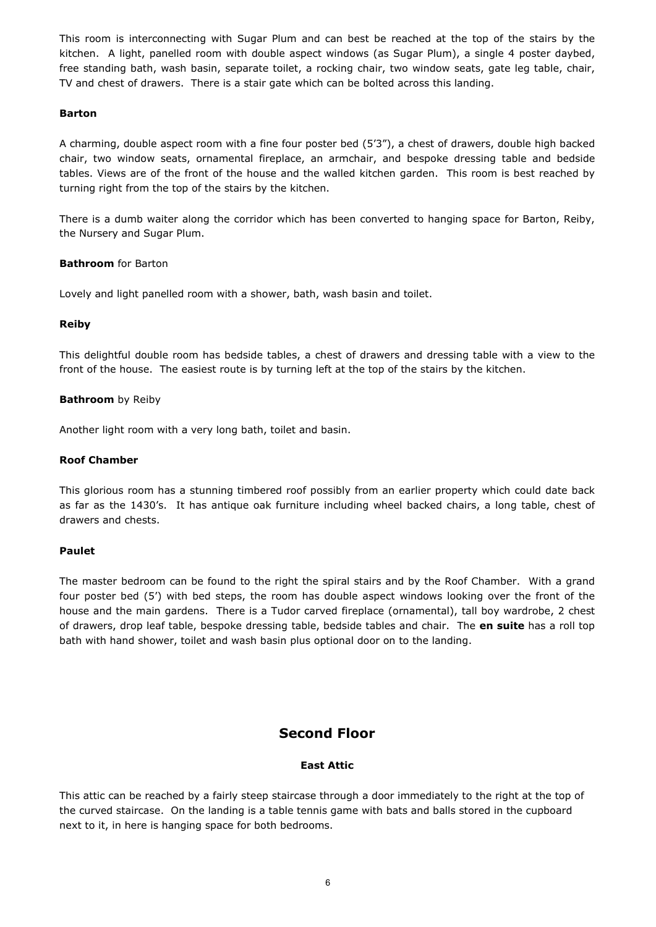This room is interconnecting with Sugar Plum and can best be reached at the top of the stairs by the kitchen. A light, panelled room with double aspect windows (as Sugar Plum), a single 4 poster daybed, free standing bath, wash basin, separate toilet, a rocking chair, two window seats, gate leg table, chair, TV and chest of drawers. There is a stair gate which can be bolted across this landing.

## **Barton**

A charming, double aspect room with a fine four poster bed (5'3"), a chest of drawers, double high backed chair, two window seats, ornamental fireplace, an armchair, and bespoke dressing table and bedside tables. Views are of the front of the house and the walled kitchen garden. This room is best reached by turning right from the top of the stairs by the kitchen.

There is a dumb waiter along the corridor which has been converted to hanging space for Barton, Reiby, the Nursery and Sugar Plum.

# **Bathroom** for Barton

Lovely and light panelled room with a shower, bath, wash basin and toilet.

## **Reiby**

This delightful double room has bedside tables, a chest of drawers and dressing table with a view to the front of the house. The easiest route is by turning left at the top of the stairs by the kitchen.

## **Bathroom** by Reiby

Another light room with a very long bath, toilet and basin.

## **Roof Chamber**

This glorious room has a stunning timbered roof possibly from an earlier property which could date back as far as the 1430's. It has antique oak furniture including wheel backed chairs, a long table, chest of drawers and chests.

# **Paulet**

The master bedroom can be found to the right the spiral stairs and by the Roof Chamber. With a grand four poster bed (5') with bed steps, the room has double aspect windows looking over the front of the house and the main gardens. There is a Tudor carved fireplace (ornamental), tall boy wardrobe, 2 chest of drawers, drop leaf table, bespoke dressing table, bedside tables and chair. The **en suite** has a roll top bath with hand shower, toilet and wash basin plus optional door on to the landing.

# **Second Floor**

# **East Attic**

This attic can be reached by a fairly steep staircase through a door immediately to the right at the top of the curved staircase. On the landing is a table tennis game with bats and balls stored in the cupboard next to it, in here is hanging space for both bedrooms.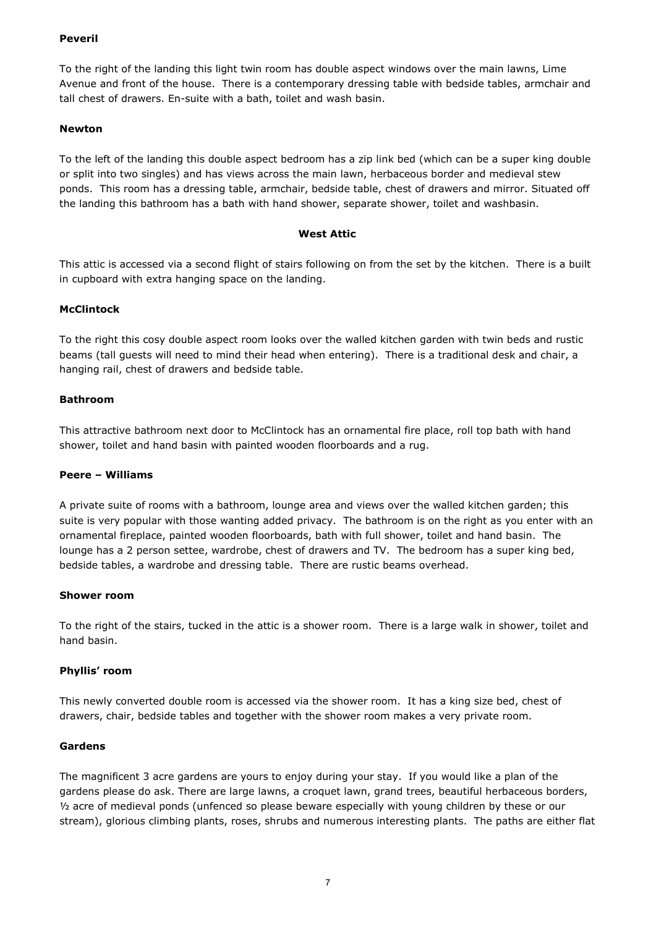# **Peveril**

To the right of the landing this light twin room has double aspect windows over the main lawns, Lime Avenue and front of the house. There is a contemporary dressing table with bedside tables, armchair and tall chest of drawers. En-suite with a bath, toilet and wash basin.

# **Newton**

To the left of the landing this double aspect bedroom has a zip link bed (which can be a super king double or split into two singles) and has views across the main lawn, herbaceous border and medieval stew ponds. This room has a dressing table, armchair, bedside table, chest of drawers and mirror. Situated off the landing this bathroom has a bath with hand shower, separate shower, toilet and washbasin.

# **West Attic**

This attic is accessed via a second flight of stairs following on from the set by the kitchen. There is a built in cupboard with extra hanging space on the landing.

# **McClintock**

To the right this cosy double aspect room looks over the walled kitchen garden with twin beds and rustic beams (tall guests will need to mind their head when entering). There is a traditional desk and chair, a hanging rail, chest of drawers and bedside table.

# **Bathroom**

This attractive bathroom next door to McClintock has an ornamental fire place, roll top bath with hand shower, toilet and hand basin with painted wooden floorboards and a rug.

# **Peere – Williams**

A private suite of rooms with a bathroom, lounge area and views over the walled kitchen garden; this suite is very popular with those wanting added privacy. The bathroom is on the right as you enter with an ornamental fireplace, painted wooden floorboards, bath with full shower, toilet and hand basin. The lounge has a 2 person settee, wardrobe, chest of drawers and TV. The bedroom has a super king bed, bedside tables, a wardrobe and dressing table. There are rustic beams overhead.

# **Shower room**

To the right of the stairs, tucked in the attic is a shower room. There is a large walk in shower, toilet and hand basin.

# **Phyllis' room**

This newly converted double room is accessed via the shower room. It has a king size bed, chest of drawers, chair, bedside tables and together with the shower room makes a very private room.

# **Gardens**

The magnificent 3 acre gardens are yours to enjoy during your stay. If you would like a plan of the gardens please do ask. There are large lawns, a croquet lawn, grand trees, beautiful herbaceous borders,  $\frac{1}{2}$  acre of medieval ponds (unfenced so please beware especially with young children by these or our stream), glorious climbing plants, roses, shrubs and numerous interesting plants. The paths are either flat